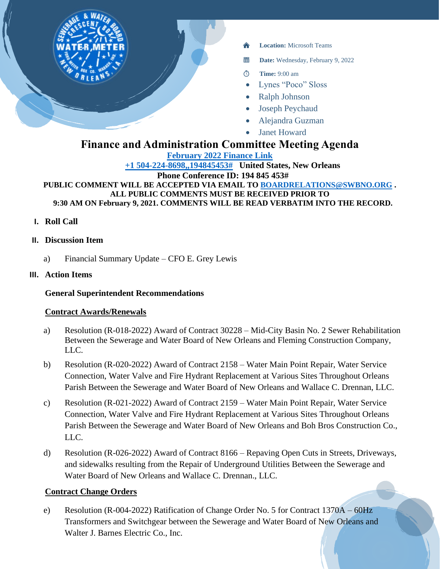

- **Location:** Microsoft Teams
- 醟 **Date:** Wednesday, February 9, 2022
- $\circ$ **Time:** 9:00 am
- Lynes "Poco" Sloss
- Ralph Johnson
- Joseph Peychaud
- Alejandra Guzman
- **Janet Howard**

# **Finance and Administration Committee Meeting Agenda**

**[February 2022 Finance Link](https://teams.microsoft.com/l/meetup-join/19%3ameeting_NzRjNTdmZGUtMDc1Zi00Y2VlLWE1NTItZjI1YjczZTI5Nzcx%40thread.v2/0?context=%7b%22Tid%22%3a%22db706155-4aa7-4a5e-b348-b35c3136f6a7%22%2c%22Oid%22%3a%22fcca2b1f-7895-42f0-8972-2f2b78d70e78%22%7d)**

**[+1 504-224-8698,,194845453#](tel:+15042248698,,194845453# ) United States, New Orleans Phone Conference ID: 194 845 453#**

**PUBLIC COMMENT WILL BE ACCEPTED VIA EMAIL TO [BOARDRELATIONS@SWBNO.ORG](mailto:BOARDRELATIONS@SWBNO.ORG) . ALL PUBLIC COMMENTS MUST BE RECEIVED PRIOR TO 9:30 AM ON February 9, 2021. COMMENTS WILL BE READ VERBATIM INTO THE RECORD.**

- **I. Roll Call**
- **II. Discussion Item**
	- a) Financial Summary Update CFO E. Grey Lewis
- **III. Action Items**

#### **General Superintendent Recommendations**

#### **Contract Awards/Renewals**

- a) Resolution (R-018-2022) Award of Contract 30228 Mid-City Basin No. 2 Sewer Rehabilitation Between the Sewerage and Water Board of New Orleans and Fleming Construction Company, LLC.
- b) Resolution (R-020-2022) Award of Contract 2158 Water Main Point Repair, Water Service Connection, Water Valve and Fire Hydrant Replacement at Various Sites Throughout Orleans Parish Between the Sewerage and Water Board of New Orleans and Wallace C. Drennan, LLC.
- c) Resolution (R-021-2022) Award of Contract 2159 Water Main Point Repair, Water Service Connection, Water Valve and Fire Hydrant Replacement at Various Sites Throughout Orleans Parish Between the Sewerage and Water Board of New Orleans and Boh Bros Construction Co., LLC.
- d) Resolution (R-026-2022) Award of Contract 8166 Repaving Open Cuts in Streets, Driveways, and sidewalks resulting from the Repair of Underground Utilities Between the Sewerage and Water Board of New Orleans and Wallace C. Drennan., LLC.

## **Contract Change Orders**

e) Resolution (R-004-2022) Ratification of Change Order No. 5 for Contract 1370A – 60Hz Transformers and Switchgear between the Sewerage and Water Board of New Orleans and Walter J. Barnes Electric Co., Inc.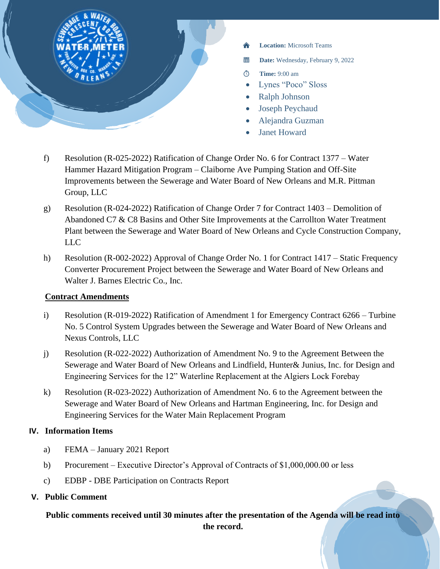

- **Location:** Microsoft Teams
- 羀 **Date:** Wednesday, February 9, 2022
- **Time:** 9:00 am  $\circ$
- Lynes "Poco" Sloss
- Ralph Johnson
- Joseph Peychaud
- Alejandra Guzman
- Janet Howard
- f) Resolution (R-025-2022) Ratification of Change Order No. 6 for Contract 1377 Water Hammer Hazard Mitigation Program – Claiborne Ave Pumping Station and Off-Site Improvements between the Sewerage and Water Board of New Orleans and M.R. Pittman Group, LLC
- g) Resolution (R-024-2022) Ratification of Change Order 7 for Contract 1403 Demolition of Abandoned C7 & C8 Basins and Other Site Improvements at the Carrollton Water Treatment Plant between the Sewerage and Water Board of New Orleans and Cycle Construction Company, LLC
- h) Resolution (R-002-2022) Approval of Change Order No. 1 for Contract 1417 Static Frequency Converter Procurement Project between the Sewerage and Water Board of New Orleans and Walter J. Barnes Electric Co., Inc.

## **Contract Amendments**

- i) Resolution (R-019-2022) Ratification of Amendment 1 for Emergency Contract 6266 Turbine No. 5 Control System Upgrades between the Sewerage and Water Board of New Orleans and Nexus Controls, LLC
- j) Resolution (R-022-2022) Authorization of Amendment No. 9 to the Agreement Between the Sewerage and Water Board of New Orleans and Lindfield, Hunter& Junius, Inc. for Design and Engineering Services for the 12" Waterline Replacement at the Algiers Lock Forebay
- k) Resolution (R-023-2022) Authorization of Amendment No. 6 to the Agreement between the Sewerage and Water Board of New Orleans and Hartman Engineering, Inc. for Design and Engineering Services for the Water Main Replacement Program

## **IV. Information Items**

- a) FEMA January 2021 Report
- b) Procurement Executive Director's Approval of Contracts of \$1,000,000.00 or less
- c) EDBP DBE Participation on Contracts Report
- **V. Public Comment**

**Public comments received until 30 minutes after the presentation of the Agenda will be read into the record.**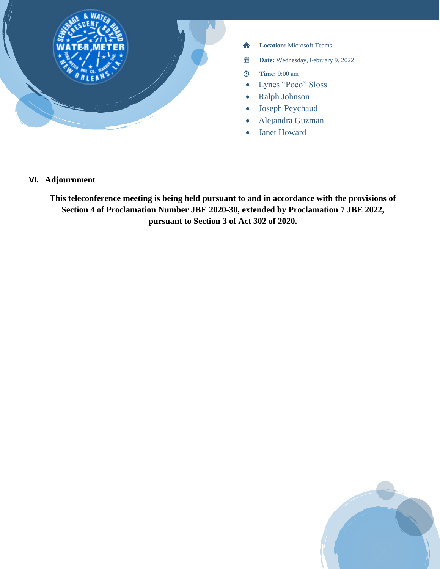

- 合 **Location:** Microsoft Teams
- 當 **Date:** Wednesday, February 9, 2022
- **Time:** 9:00 am  $\bar{\circ}$
- Lynes "Poco" Sloss
- Ralph Johnson
- Joseph Peychaud
- Alejandra Guzman
- Janet Howard

# **VI. Adjournment**

**This teleconference meeting is being held pursuant to and in accordance with the provisions of Section 4 of Proclamation Number JBE 2020-30, extended by Proclamation 7 JBE 2022, pursuant to Section 3 of Act 302 of 2020.**